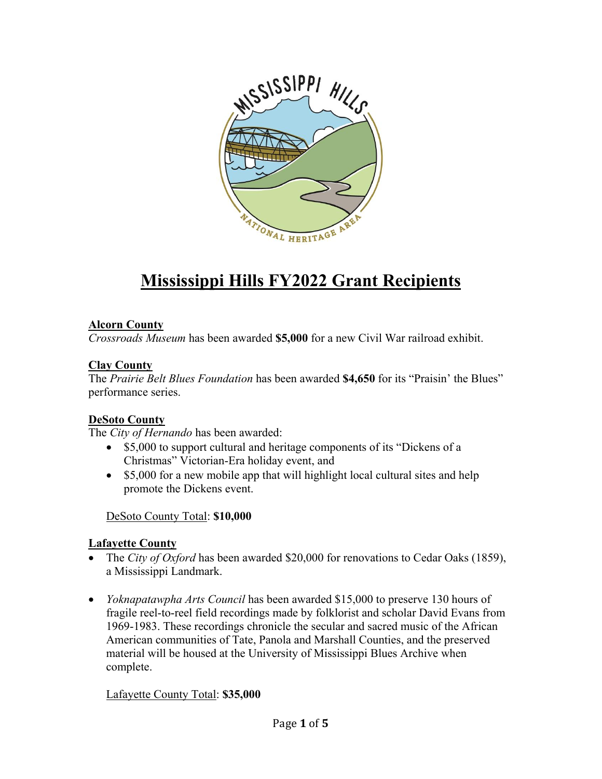

# **Mississippi Hills FY2022 Grant Recipients**

#### **Alcorn County**

*Crossroads Museum* has been awarded **\$5,000** for a new Civil War railroad exhibit.

#### **Clay County**

The *Prairie Belt Blues Foundation* has been awarded **\$4,650** for its "Praisin' the Blues" performance series.

## **DeSoto County**

The *City of Hernando* has been awarded:

- \$5,000 to support cultural and heritage components of its "Dickens of a Christmas" Victorian-Era holiday event, and
- \$5,000 for a new mobile app that will highlight local cultural sites and help promote the Dickens event.

DeSoto County Total: **\$10,000**

## **Lafayette County**

- The *City of Oxford* has been awarded \$20,000 for renovations to Cedar Oaks (1859), a Mississippi Landmark.
- *Yoknapatawpha Arts Council* has been awarded \$15,000 to preserve 130 hours of fragile reel-to-reel field recordings made by folklorist and scholar David Evans from 1969-1983. These recordings chronicle the secular and sacred music of the African American communities of Tate, Panola and Marshall Counties, and the preserved material will be housed at the University of Mississippi Blues Archive when complete.

Lafayette County Total: **\$35,000**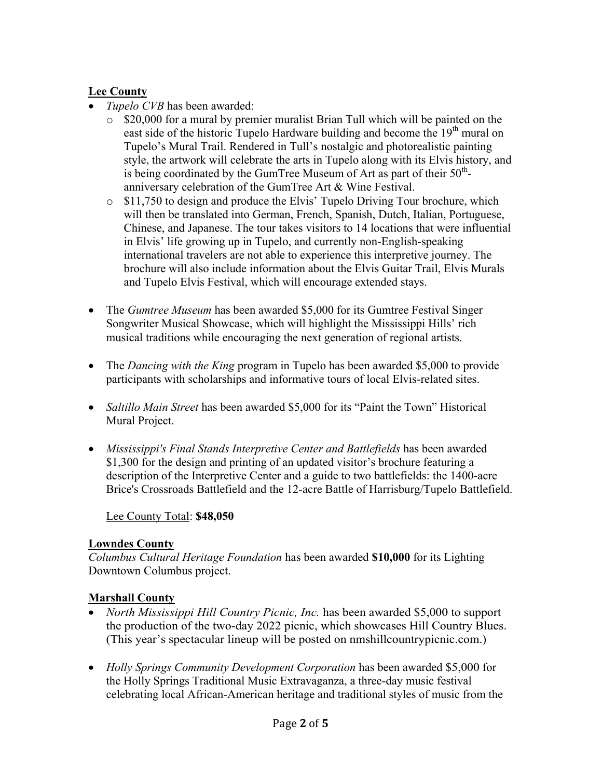## **Lee County**

- *Tupelo CVB* has been awarded:
	- o \$20,000 for a mural by premier muralist Brian Tull which will be painted on the east side of the historic Tupelo Hardware building and become the  $19<sup>th</sup>$  mural on Tupelo's Mural Trail. Rendered in Tull's nostalgic and photorealistic painting style, the artwork will celebrate the arts in Tupelo along with its Elvis history, and is being coordinated by the GumTree Museum of Art as part of their  $50<sup>th</sup>$ anniversary celebration of the GumTree Art & Wine Festival.
	- $\circ$  \$11,750 to design and produce the Elvis' Tupelo Driving Tour brochure, which will then be translated into German, French, Spanish, Dutch, Italian, Portuguese, Chinese, and Japanese. The tour takes visitors to 14 locations that were influential in Elvis' life growing up in Tupelo, and currently non-English-speaking international travelers are not able to experience this interpretive journey. The brochure will also include information about the Elvis Guitar Trail, Elvis Murals and Tupelo Elvis Festival, which will encourage extended stays.
- The *Gumtree Museum* has been awarded \$5,000 for its Gumtree Festival Singer Songwriter Musical Showcase, which will highlight the Mississippi Hills' rich musical traditions while encouraging the next generation of regional artists.
- The *Dancing with the King* program in Tupelo has been awarded \$5,000 to provide participants with scholarships and informative tours of local Elvis-related sites.
- *Saltillo Main Street* has been awarded \$5,000 for its "Paint the Town" Historical Mural Project.
- *Mississippi's Final Stands Interpretive Center and Battlefields* has been awarded \$1,300 for the design and printing of an updated visitor's brochure featuring a description of the Interpretive Center and a guide to two battlefields: the 1400-acre Brice's Crossroads Battlefield and the 12-acre Battle of Harrisburg/Tupelo Battlefield.

Lee County Total: **\$48,050**

## **Lowndes County**

*Columbus Cultural Heritage Foundation* has been awarded **\$10,000** for its Lighting Downtown Columbus project.

## **Marshall County**

- *North Mississippi Hill Country Picnic, Inc.* has been awarded \$5,000 to support the production of the two-day 2022 picnic, which showcases Hill Country Blues. (This year's spectacular lineup will be posted on nmshillcountrypicnic.com.)
- *Holly Springs Community Development Corporation* has been awarded \$5,000 for the Holly Springs Traditional Music Extravaganza, a three-day music festival celebrating local African-American heritage and traditional styles of music from the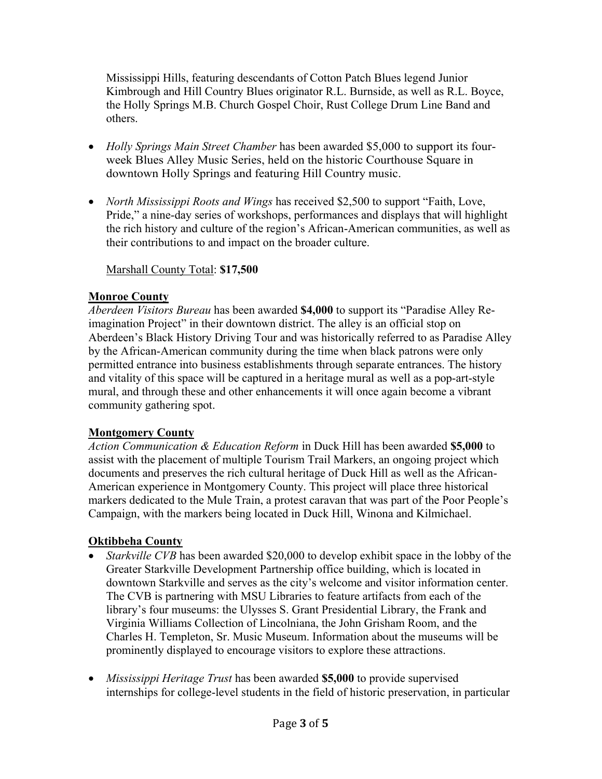Mississippi Hills, featuring descendants of Cotton Patch Blues legend Junior Kimbrough and Hill Country Blues originator R.L. Burnside, as well as R.L. Boyce, the Holly Springs M.B. Church Gospel Choir, Rust College Drum Line Band and others.

- *Holly Springs Main Street Chamber* has been awarded \$5,000 to support its fourweek Blues Alley Music Series, held on the historic Courthouse Square in downtown Holly Springs and featuring Hill Country music.
- *North Mississippi Roots and Wings* has received \$2,500 to support "Faith, Love, Pride," a nine-day series of workshops, performances and displays that will highlight the rich history and culture of the region's African-American communities, as well as their contributions to and impact on the broader culture.

Marshall County Total: **\$17,500**

## **Monroe County**

*Aberdeen Visitors Bureau* has been awarded **\$4,000** to support its "Paradise Alley Reimagination Project" in their downtown district. The alley is an official stop on Aberdeen's Black History Driving Tour and was historically referred to as Paradise Alley by the African-American community during the time when black patrons were only permitted entrance into business establishments through separate entrances. The history and vitality of this space will be captured in a heritage mural as well as a pop-art-style mural, and through these and other enhancements it will once again become a vibrant community gathering spot.

## **Montgomery County**

*Action Communication & Education Reform* in Duck Hill has been awarded **\$5,000** to assist with the placement of multiple Tourism Trail Markers, an ongoing project which documents and preserves the rich cultural heritage of Duck Hill as well as the African-American experience in Montgomery County. This project will place three historical markers dedicated to the Mule Train, a protest caravan that was part of the Poor People's Campaign, with the markers being located in Duck Hill, Winona and Kilmichael.

## **Oktibbeha County**

- *Starkville CVB* has been awarded \$20,000 to develop exhibit space in the lobby of the Greater Starkville Development Partnership office building, which is located in downtown Starkville and serves as the city's welcome and visitor information center. The CVB is partnering with MSU Libraries to feature artifacts from each of the library's four museums: the Ulysses S. Grant Presidential Library, the Frank and Virginia Williams Collection of Lincolniana, the John Grisham Room, and the Charles H. Templeton, Sr. Music Museum. Information about the museums will be prominently displayed to encourage visitors to explore these attractions.
- *Mississippi Heritage Trust* has been awarded **\$5,000** to provide supervised internships for college-level students in the field of historic preservation, in particular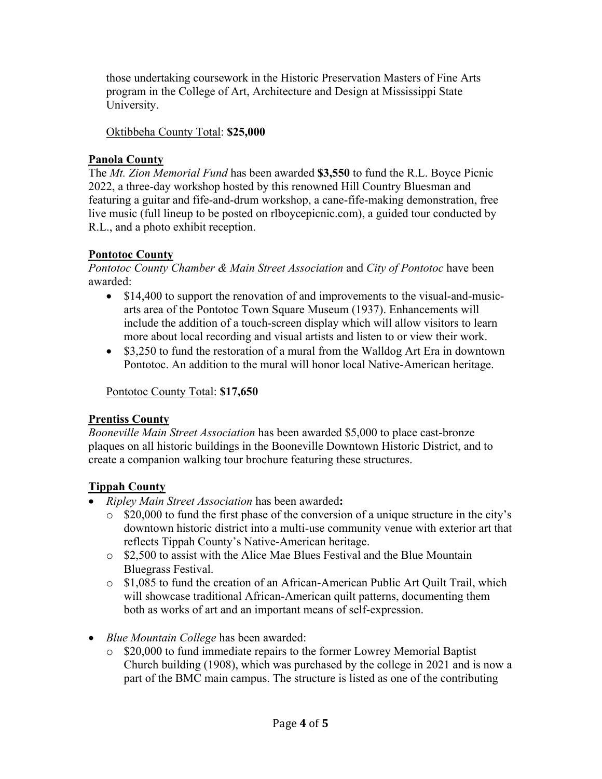those undertaking coursework in the Historic Preservation Masters of Fine Arts program in the College of Art, Architecture and Design at Mississippi State University.

#### Oktibbeha County Total: **\$25,000**

#### **Panola County**

The *Mt. Zion Memorial Fund* has been awarded **\$3,550** to fund the R.L. Boyce Picnic 2022, a three-day workshop hosted by this renowned Hill Country Bluesman and featuring a guitar and fife-and-drum workshop, a cane-fife-making demonstration, free live music (full lineup to be posted on rlboycepicnic.com), a guided tour conducted by R.L., and a photo exhibit reception.

## **Pontotoc County**

*Pontotoc County Chamber & Main Street Association* and *City of Pontotoc* have been awarded:

- \$14,400 to support the renovation of and improvements to the visual-and-musicarts area of the Pontotoc Town Square Museum (1937). Enhancements will include the addition of a touch-screen display which will allow visitors to learn more about local recording and visual artists and listen to or view their work.
- \$3,250 to fund the restoration of a mural from the Walldog Art Era in downtown Pontotoc. An addition to the mural will honor local Native-American heritage.

Pontotoc County Total: **\$17,650**

## **Prentiss County**

*Booneville Main Street Association* has been awarded \$5,000 to place cast-bronze plaques on all historic buildings in the Booneville Downtown Historic District, and to create a companion walking tour brochure featuring these structures.

## **Tippah County**

- *Ripley Main Street Association* has been awarded**:**
	- o \$20,000 to fund the first phase of the conversion of a unique structure in the city's downtown historic district into a multi-use community venue with exterior art that reflects Tippah County's Native-American heritage.
	- o \$2,500 to assist with the Alice Mae Blues Festival and the Blue Mountain Bluegrass Festival.
	- o \$1,085 to fund the creation of an African-American Public Art Quilt Trail, which will showcase traditional African-American quilt patterns, documenting them both as works of art and an important means of self-expression.
- *Blue Mountain College* has been awarded:
	- o \$20,000 to fund immediate repairs to the former Lowrey Memorial Baptist Church building (1908), which was purchased by the college in 2021 and is now a part of the BMC main campus. The structure is listed as one of the contributing